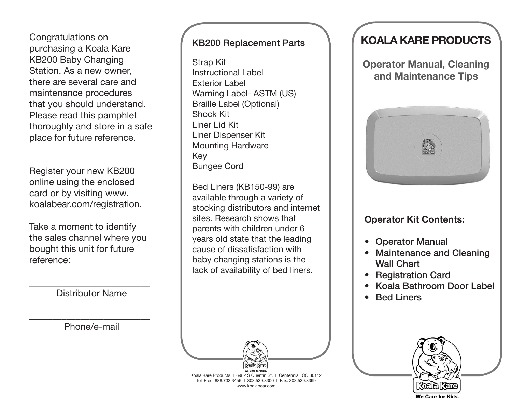Congratulations on purchasing a Koala Kare KB200 Baby Changing Station. As a new owner, there are several care and maintenance procedures that you should understand. Please read this pamphlet thoroughly and store in a safe place for future reference.

Register your new KB200 online using the enclosed card or by visiting www. koalabear.com/registration.

Take a moment to identify the sales channel where you bought this unit for future reference:

\_\_\_\_\_\_\_\_\_\_\_\_\_\_\_\_\_\_\_\_\_\_\_\_\_\_ Distributor Name

Phone/e-mail

\_\_\_\_\_\_\_\_\_\_\_\_\_\_\_\_\_\_\_\_\_\_\_\_\_\_

## KB200 Replacement Parts

Strap Kit Instructional Label Exterior Label Warning Label- ASTM (US) Braille Label (Optional) Shock Kit Liner Lid Kit Liner Dispenser Kit Mounting Hardware Key Bungee Cord

Bed Liners (KB150-99) are available through a variety of stocking distributors and internet sites. Research shows that parents with children under 6 years old state that the leading cause of dissatisfaction with baby changing stations is the lack of availability of bed liners.

Koala Kare Products | 6982 S Quentin St. | Centennial, CO 80112 Toll Free: 888.733.3456 ǁ 303.539.8300 ǁ Fax: 303.539.8399 www.koalabear.com

# **KOALA KARE PRODUCTS**

**Operator Manual, Cleaning and Maintenance Tips**



## **Operator Kit Contents:**

- • Operator Manual
- **Maintenance and Cleaning** Wall Chart
- **Registration Card**
- Koala Bathroom Door Label
- **Bed Liners**



We Care for Kids